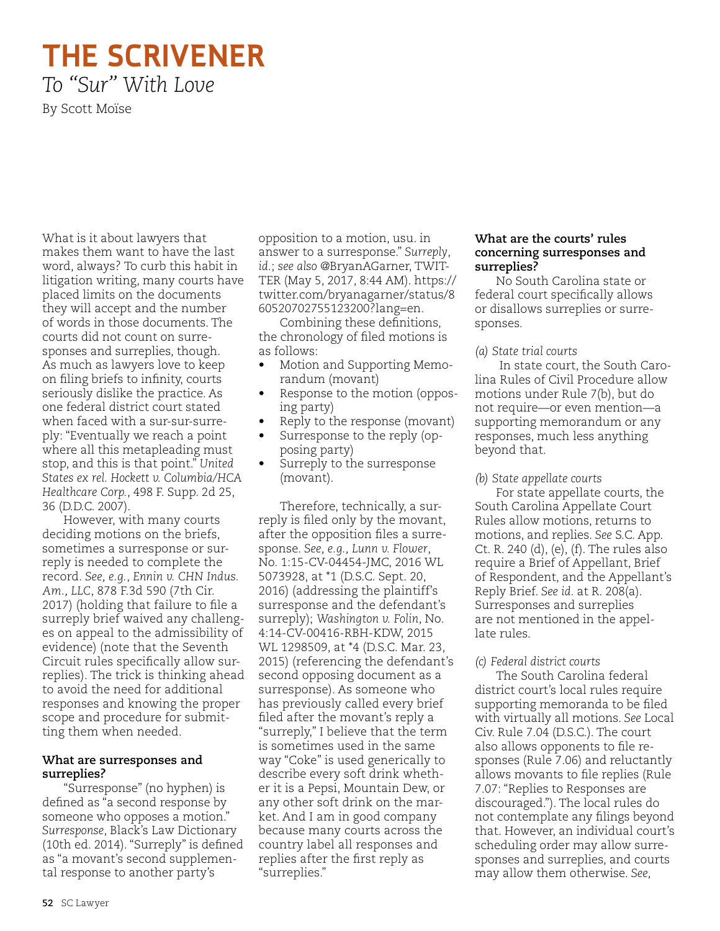# **THE SCRIVENER** *To "Sur" With Love*

By Scott Moïse

What is it about lawyers that makes them want to have the last word, always? To curb this habit in litigation writing, many courts have placed limits on the documents they will accept and the number of words in those documents. The courts did not count on surresponses and surreplies, though. As much as lawyers love to keep on filing briefs to infinity, courts seriously dislike the practice. As one federal district court stated when faced with a sur-sur-surreply: "Eventually we reach a point where all this metapleading must stop, and this is that point." *United States ex rel. Hockett v. Columbia/HCA Healthcare Corp.*, 498 F. Supp. 2d 25, 36 (D.D.C. 2007).

However, with many courts deciding motions on the briefs, sometimes a surresponse or surreply is needed to complete the record. *See, e.g.*, *Ennin v. CHN Indus. Am., LLC*, 878 F.3d 590 (7th Cir. 2017) (holding that failure to file a surreply brief waived any challenges on appeal to the admissibility of evidence) (note that the Seventh Circuit rules specifically allow surreplies). The trick is thinking ahead to avoid the need for additional responses and knowing the proper scope and procedure for submitting them when needed.

#### **What are surresponses and surreplies?**

"Surresponse" (no hyphen) is defined as "a second response by someone who opposes a motion." *Surresponse*, Black's Law Dictionary (10th ed. 2014). "Surreply" is defined as "a movant's second supplemental response to another party's

opposition to a motion, usu. in answer to a surresponse." *Surreply*, *id.*; *see also* @BryanAGarner, TWIT-TER (May 5, 2017, 8:44 AM). https:// twitter.com/bryanagarner/status/8 60520702755123200?lang=en.

Combining these definitions, the chronology of filed motions is as follows:

- Motion and Supporting Memorandum (movant)
- Response to the motion (opposing party)
- Reply to the response (movant)
- Surresponse to the reply (opposing party)
- Surreply to the surresponse (movant).

Therefore, technically, a surreply is filed only by the movant, after the opposition files a surresponse. *See, e.g., Lunn v. Flower*, No. 1:15-CV-04454-JMC, 2016 WL 5073928, at \*1 (D.S.C. Sept. 20, 2016) (addressing the plaintiff's surresponse and the defendant's surreply); *Washington v. Folin*, No. 4:14-CV-00416-RBH-KDW, 2015 WL 1298509, at \*4 (D.S.C. Mar. 23, 2015) (referencing the defendant's second opposing document as a surresponse). As someone who has previously called every brief filed after the movant's reply a "surreply," I believe that the term is sometimes used in the same way "Coke" is used generically to describe every soft drink whether it is a Pepsi, Mountain Dew, or any other soft drink on the market. And I am in good company because many courts across the country label all responses and replies after the first reply as "surreplies."

### **What are the courts' rules concerning surresponses and surreplies?**

No South Carolina state or federal court specifically allows or disallows surreplies or surresponses.

## *(a) State trial courts*

 In state court, the South Carolina Rules of Civil Procedure allow motions under Rule 7(b), but do not require—or even mention—a supporting memorandum or any responses, much less anything beyond that.

# *(b) State appellate courts*

For state appellate courts, the South Carolina Appellate Court Rules allow motions, returns to motions, and replies. *See* S.C. App. Ct. R. 240 (d), (e), (f). The rules also require a Brief of Appellant, Brief of Respondent, and the Appellant's Reply Brief. *See id.* at R. 208(a). Surresponses and surreplies are not mentioned in the appellate rules.

# *(c) Federal district courts*

The South Carolina federal district court's local rules require supporting memoranda to be filed with virtually all motions. *See* Local Civ. Rule 7.04 (D.S.C.). The court also allows opponents to file responses (Rule 7.06) and reluctantly allows movants to file replies (Rule 7.07: "Replies to Responses are discouraged."). The local rules do not contemplate any filings beyond that. However, an individual court's scheduling order may allow surresponses and surreplies, and courts may allow them otherwise. *See,*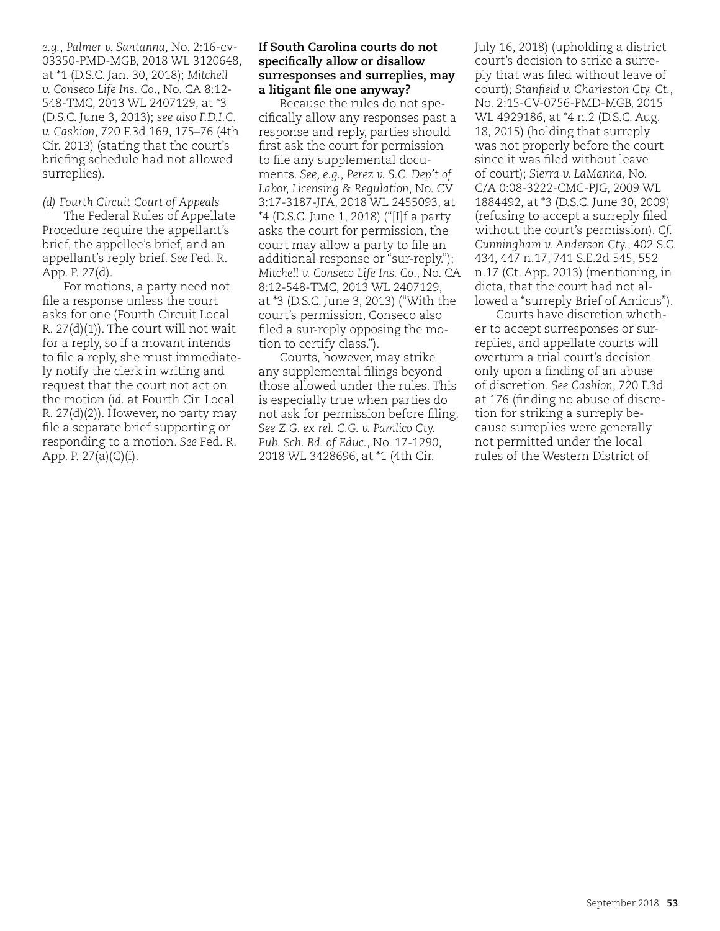*e.g.*, *Palmer v. Santanna,* No. 2:16-cv-03350-PMD-MGB, 2018 WL 3120648, at \*1 (D.S.C. Jan. 30, 2018); *Mitchell v. Conseco Life Ins. Co*., No. CA 8:12- 548-TMC, 2013 WL 2407129, at \*3 (D.S.C. June 3, 2013); *see also F.D.I.C. v. Cashion*, 720 F.3d 169, 175–76 (4th Cir. 2013) (stating that the court's briefing schedule had not allowed surreplies).

*(d) Fourth Circuit Court of Appeals*

The Federal Rules of Appellate Procedure require the appellant's brief, the appellee's brief, and an appellant's reply brief. *See* Fed. R. App. P. 27(d).

For motions, a party need not file a response unless the court asks for one (Fourth Circuit Local R.  $27(d)(1)$ ). The court will not wait for a reply, so if a movant intends to file a reply, she must immediately notify the clerk in writing and request that the court not act on the motion (*id.* at Fourth Cir. Local R.  $27(d)(2)$ ). However, no party may file a separate brief supporting or responding to a motion. *See* Fed. R. App. P.  $27(a)(C)(i)$ .

#### **If South Carolina courts do not specifically allow or disallow surresponses and surreplies, may a litigant file one anyway?**

Because the rules do not specifically allow any responses past a response and reply, parties should first ask the court for permission to file any supplemental documents. *See, e.g.*, *Perez v. S.C. Dep't of Labor, Licensing & Regulation*, No. CV 3:17-3187-JFA, 2018 WL 2455093, at \*4 (D.S.C. June 1, 2018) ("[I]f a party asks the court for permission, the court may allow a party to file an additional response or "sur-reply."); *Mitchell v. Conseco Life Ins. Co*., No. CA 8:12-548-TMC, 2013 WL 2407129, at \*3 (D.S.C. June 3, 2013) ("With the court's permission, Conseco also filed a sur-reply opposing the motion to certify class.").

Courts, however, may strike any supplemental filings beyond those allowed under the rules. This is especially true when parties do not ask for permission before filing. *See Z.G. ex rel. C.G. v. Pamlico Cty. Pub. Sch. Bd. of Educ.*, No. 17-1290, 2018 WL 3428696, at \*1 (4th Cir.

July 16, 2018) (upholding a district court's decision to strike a surreply that was filed without leave of court); *Stanfield v. Charleston Cty. Ct.*, No. 2:15-CV-0756-PMD-MGB, 2015 WL 4929186, at \*4 n.2 (D.S.C. Aug. 18, 2015) (holding that surreply was not properly before the court since it was filed without leave of court); *Sierra v. LaManna*, No. C/A 0:08-3222-CMC-PJG, 2009 WL 1884492, at \*3 (D.S.C. June 30, 2009) (refusing to accept a surreply filed without the court's permission). *Cf. Cunningham v. Anderson Cty.*, 402 S.C. 434, 447 n.17, 741 S.E.2d 545, 552 n.17 (Ct. App. 2013) (mentioning, in dicta, that the court had not allowed a "surreply Brief of Amicus").

Courts have discretion whether to accept surresponses or surreplies, and appellate courts will overturn a trial court's decision only upon a finding of an abuse of discretion. *See Cashion*, 720 F.3d at 176 (finding no abuse of discretion for striking a surreply because surreplies were generally not permitted under the local rules of the Western District of